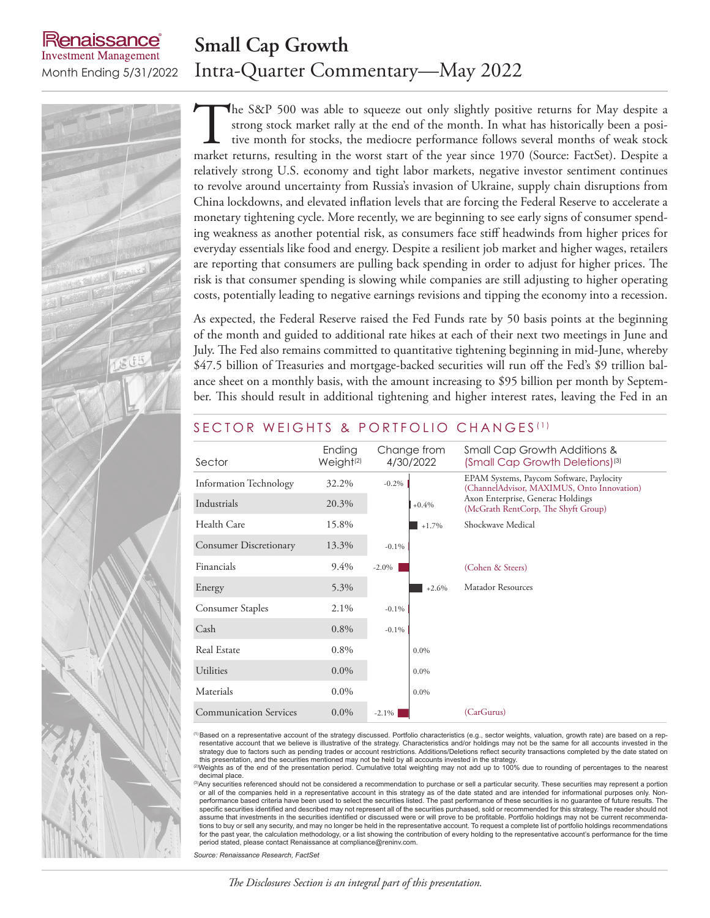## **Small Cap Growth** Month Ending 5/31/2022 Intra-Quarter Commentary—May 2022

enaissance **Investment Management** 

> The S&P 500 was able to squeeze out only slightly positive returns for May despite a strong stock market rally at the end of the month. In what has historically been a positive month for stocks, the mediocre performance fo strong stock market rally at the end of the month. In what has historically been a positive month for stocks, the mediocre performance follows several months of weak stock market returns, resulting in the worst start of the year since 1970 (Source: FactSet). Despite a relatively strong U.S. economy and tight labor markets, negative investor sentiment continues to revolve around uncertainty from Russia's invasion of Ukraine, supply chain disruptions from China lockdowns, and elevated inflation levels that are forcing the Federal Reserve to accelerate a monetary tightening cycle. More recently, we are beginning to see early signs of consumer spending weakness as another potential risk, as consumers face stiff headwinds from higher prices for everyday essentials like food and energy. Despite a resilient job market and higher wages, retailers are reporting that consumers are pulling back spending in order to adjust for higher prices. The risk is that consumer spending is slowing while companies are still adjusting to higher operating costs, potentially leading to negative earnings revisions and tipping the economy into a recession.

> As expected, the Federal Reserve raised the Fed Funds rate by 50 basis points at the beginning of the month and guided to additional rate hikes at each of their next two meetings in June and July. The Fed also remains committed to quantitative tightening beginning in mid-June, whereby \$47.5 billion of Treasuries and mortgage-backed securities will run off the Fed's \$9 trillion balance sheet on a monthly basis, with the amount increasing to \$95 billion per month by September. This should result in additional tightening and higher interest rates, leaving the Fed in an

| Sector                        | Ending<br>Weight <sup>(2)</sup> | Change from<br>4/30/2022 | Small Cap Growth Additions &<br>(Small Cap Growth Deletions) <sup>(3)</sup>            |
|-------------------------------|---------------------------------|--------------------------|----------------------------------------------------------------------------------------|
| <b>Information Technology</b> | 32.2%                           | $-0.2\%$                 | EPAM Systems, Paycom Software, Paylocity<br>(ChannelAdvisor, MAXIMUS, Onto Innovation) |
| Industrials                   | 20.3%                           | $+0.4%$                  | Axon Enterprise, Generac Holdings<br>(McGrath RentCorp, The Shyft Group)               |
| Health Care                   | 15.8%                           | $+1.7%$                  | Shockwave Medical                                                                      |
| <b>Consumer Discretionary</b> | 13.3%                           | $-0.1\%$                 |                                                                                        |
| Financials                    | 9.4%                            | $-2.0\%$                 | (Cohen & Steers)                                                                       |
| Energy                        | 5.3%                            | $+2.6%$                  | Matador Resources                                                                      |
| Consumer Staples              | 2.1%                            | $-0.1\%$                 |                                                                                        |
| Cash                          | 0.8%                            | $-0.1\%$                 |                                                                                        |
| Real Estate                   | 0.8%                            | $0.0\%$                  |                                                                                        |
| <b>Utilities</b>              | $0.0\%$                         | $0.0\%$                  |                                                                                        |
| Materials                     | $0.0\%$                         | $0.0\%$                  |                                                                                        |
| <b>Communication Services</b> | $0.0\%$                         | $-2.1\%$                 | (CarGurus)                                                                             |

### SECTOR WEIGHTS & PORTFOLIO CHANGES<sup>(1)</sup>

<sup>(1)</sup>Based on a representative account of the strategy discussed. Portfolio characteristics (e.g., sector weights, valuation, growth rate) are based on a rep-<br>resentative account that we believe is illustrative of the stra strategy due to factors such as pending trades or account restrictions. Additions/Deletions reflect security transactions completed by the date stated on<br>this presentation, and the securities mentioned may not be held by a

(2)Weights as of the end of the presentation period. Cumulative total weighting may not add up to 100% due to rounding of percentages to the nearest decimal place.

<sup>3)</sup>Any securities referenced should not be considered a recommendation to purchase or sell a particular security. These securities may represent a portion or all of the companies held in a representative account in this strategy as of the date stated and are intended for informational purposes only. Nonperformance based criteria have been used to select the securities listed. The past performance of these securities is no guarantee of future results. The specific securities identified and described may not represent all of the securities purchased, sold or recommended for this strategy. The reader should not<br>assume that investments in the securities identified or discussed tions to buy or sell any security, and may no longer be held in the representative account. To request a complete list of portfolio holdings recommendations for the past year, the calculation methodology, or a list showing the contribution of every holding to the representative account's performance for the time period stated, please contact Renaissance at compliance@reninv.com.

*Source: Renaissance Research, FactSet*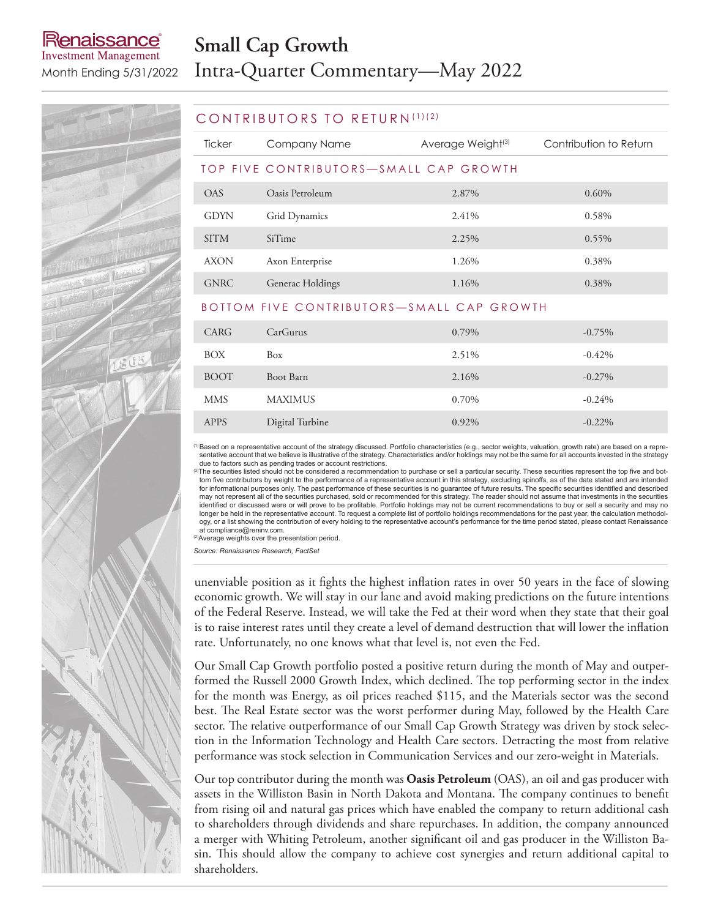## enaissance **Investment Management**

# **Small Cap Growth** Month Ending 5/31/2022 Intra-Quarter Commentary—May 2022

#### CONTRIBUTORS TO RETURN (1)(2)

| <b>Ticker</b>                             | Company Name            | Average Weight <sup>(3)</sup> | Contribution to Return |  |  |  |
|-------------------------------------------|-------------------------|-------------------------------|------------------------|--|--|--|
| TOP FIVE CONTRIBUTORS-SMALL CAP GROWTH    |                         |                               |                        |  |  |  |
| OAS                                       | Oasis Petroleum         | 2.87%                         | $0.60\%$               |  |  |  |
| <b>GDYN</b>                               | Grid Dynamics           | 2.41%                         | 0.58%                  |  |  |  |
| <b>SITM</b>                               | SiTime                  | 2.25%                         | $0.55\%$               |  |  |  |
| <b>AXON</b>                               | Axon Enterprise         | 1.26%                         | 0.38%                  |  |  |  |
| <b>GNRC</b>                               | <b>Generac Holdings</b> | 1.16%                         | 0.38%                  |  |  |  |
| BOTTOM FIVE CONTRIBUTORS—SMALL CAP GROWTH |                         |                               |                        |  |  |  |

| CARG        | CarGurus        | 0.79% | $-0.75%$  |
|-------------|-----------------|-------|-----------|
| BOX         | Box             | 2.51% | $-0.42%$  |
| <b>BOOT</b> | Boot Barn       | 2.16% | $-0.27\%$ |
| <b>MMS</b>  | <b>MAXIMUS</b>  | 0.70% | $-0.24%$  |
| <b>APPS</b> | Digital Turbine | 0.92% | $-0.22\%$ |

(1)Based on a representative account of the strategy discussed. Portfolio characteristics (e.g., sector weights, valuation, growth rate) are based on a representative account that we believe is illustrative of the strategy. Characteristics and/or holdings may not be the same for all accounts invested in the strategy

due to factors such as pending trades or account restrictions.<br><sup>③</sup>The securities listed should not be considered a recommendation to purchase or sell a particular security. These securities represent the top five and bottom five contributors by weight to the performance of a representative account in this strategy, excluding spinoffs, as of the date stated and are intended for informational purposes only. The past performance of these securities is no guarantee of future results. The specific securities identified and described<br>may not represent all of the securities purchased, sold or recom identified or discussed were or will prove to be profitable. Portfolio holdings may not be current recommendations to buy or sell a security and may no longer be held in the representative account. To request a complete list of portfolio holdings recommendations for the past year, the calculation methodology, or a list showing the contribution of every holding to the representative account's performance for the time period stated, please contact Renaissance at compliance@reninv.com.

(2)Average weights over the presentation period.

*Source: Renaissance Research, FactSet*

unenviable position as it fights the highest inflation rates in over 50 years in the face of slowing economic growth. We will stay in our lane and avoid making predictions on the future intentions of the Federal Reserve. Instead, we will take the Fed at their word when they state that their goal is to raise interest rates until they create a level of demand destruction that will lower the inflation rate. Unfortunately, no one knows what that level is, not even the Fed.

Our Small Cap Growth portfolio posted a positive return during the month of May and outperformed the Russell 2000 Growth Index, which declined. The top performing sector in the index for the month was Energy, as oil prices reached \$115, and the Materials sector was the second best. The Real Estate sector was the worst performer during May, followed by the Health Care sector. The relative outperformance of our Small Cap Growth Strategy was driven by stock selection in the Information Technology and Health Care sectors. Detracting the most from relative performance was stock selection in Communication Services and our zero-weight in Materials.

Our top contributor during the month was **Oasis Petroleum** (OAS), an oil and gas producer with assets in the Williston Basin in North Dakota and Montana. The company continues to benefit from rising oil and natural gas prices which have enabled the company to return additional cash to shareholders through dividends and share repurchases. In addition, the company announced a merger with Whiting Petroleum, another significant oil and gas producer in the Williston Basin. This should allow the company to achieve cost synergies and return additional capital to shareholders.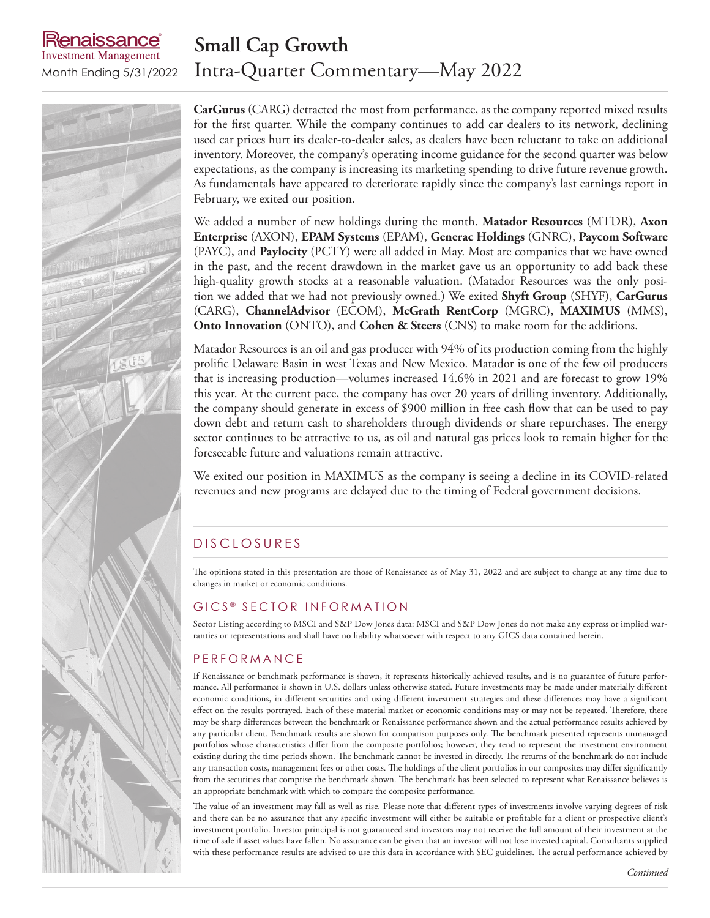## **Small Cap Growth** Month Ending 5/31/2022 Intra-Quarter Commentary—May 2022



enaissance **Investment Management** 

> **CarGurus** (CARG) detracted the most from performance, as the company reported mixed results for the first quarter. While the company continues to add car dealers to its network, declining used car prices hurt its dealer-to-dealer sales, as dealers have been reluctant to take on additional inventory. Moreover, the company's operating income guidance for the second quarter was below expectations, as the company is increasing its marketing spending to drive future revenue growth. As fundamentals have appeared to deteriorate rapidly since the company's last earnings report in February, we exited our position.

> We added a number of new holdings during the month. **Matador Resources** (MTDR), **Axon Enterprise** (AXON), **EPAM Systems** (EPAM), **Generac Holdings** (GNRC), **Paycom Software**  (PAYC), and **Paylocity** (PCTY) were all added in May. Most are companies that we have owned in the past, and the recent drawdown in the market gave us an opportunity to add back these high-quality growth stocks at a reasonable valuation. (Matador Resources was the only position we added that we had not previously owned.) We exited **Shyft Group** (SHYF), **CarGurus** (CARG), **ChannelAdvisor** (ECOM), **McGrath RentCorp** (MGRC), **MAXIMUS** (MMS), **Onto Innovation** (ONTO), and **Cohen & Steers** (CNS) to make room for the additions.

> Matador Resources is an oil and gas producer with 94% of its production coming from the highly prolific Delaware Basin in west Texas and New Mexico. Matador is one of the few oil producers that is increasing production—volumes increased 14.6% in 2021 and are forecast to grow 19% this year. At the current pace, the company has over 20 years of drilling inventory. Additionally, the company should generate in excess of \$900 million in free cash flow that can be used to pay down debt and return cash to shareholders through dividends or share repurchases. The energy sector continues to be attractive to us, as oil and natural gas prices look to remain higher for the foreseeable future and valuations remain attractive.

> We exited our position in MAXIMUS as the company is seeing a decline in its COVID-related revenues and new programs are delayed due to the timing of Federal government decisions.

## D IS CLOSURES

The opinions stated in this presentation are those of Renaissance as of May 31, 2022 and are subject to change at any time due to changes in market or economic conditions.

#### GICS<sup>®</sup> SECTOR INFORMATION

Sector Listing according to MSCI and S&P Dow Jones data: MSCI and S&P Dow Jones do not make any express or implied warranties or representations and shall have no liability whatsoever with respect to any GICS data contained herein.

#### P E R F O R M A N C E

If Renaissance or benchmark performance is shown, it represents historically achieved results, and is no guarantee of future performance. All performance is shown in U.S. dollars unless otherwise stated. Future investments may be made under materially different economic conditions, in different securities and using different investment strategies and these differences may have a significant effect on the results portrayed. Each of these material market or economic conditions may or may not be repeated. Therefore, there may be sharp differences between the benchmark or Renaissance performance shown and the actual performance results achieved by any particular client. Benchmark results are shown for comparison purposes only. The benchmark presented represents unmanaged portfolios whose characteristics differ from the composite portfolios; however, they tend to represent the investment environment existing during the time periods shown. The benchmark cannot be invested in directly. The returns of the benchmark do not include any transaction costs, management fees or other costs. The holdings of the client portfolios in our composites may differ significantly from the securities that comprise the benchmark shown. The benchmark has been selected to represent what Renaissance believes is an appropriate benchmark with which to compare the composite performance.

The value of an investment may fall as well as rise. Please note that different types of investments involve varying degrees of risk and there can be no assurance that any specific investment will either be suitable or profitable for a client or prospective client's investment portfolio. Investor principal is not guaranteed and investors may not receive the full amount of their investment at the time of sale if asset values have fallen. No assurance can be given that an investor will not lose invested capital. Consultants supplied with these performance results are advised to use this data in accordance with SEC guidelines. The actual performance achieved by